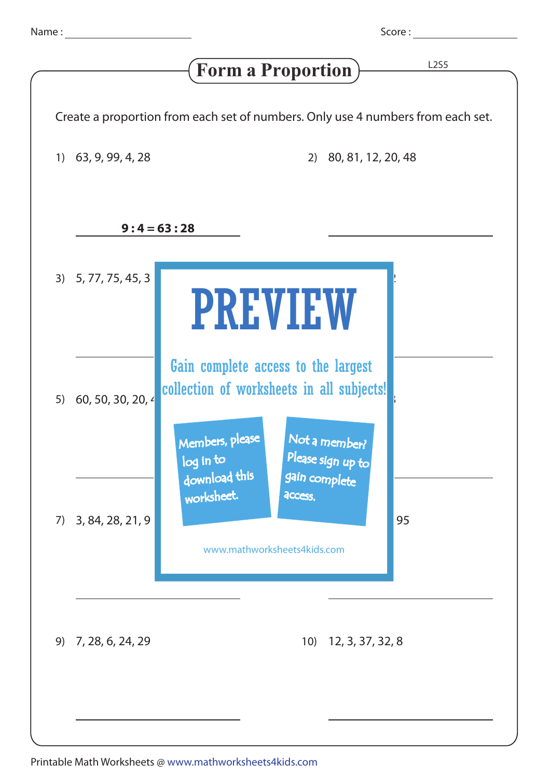Score : <u>\_\_\_\_\_\_</u>